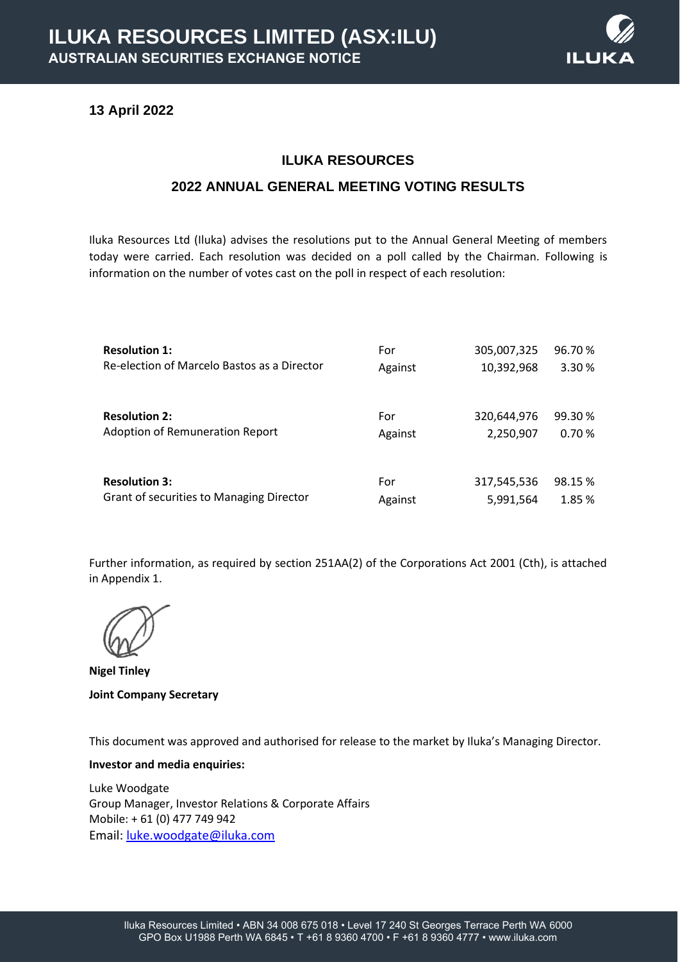

## **13 April 2022**

# **ILUKA RESOURCES**

### **2022 ANNUAL GENERAL MEETING VOTING RESULTS**

Iluka Resources Ltd (Iluka) advises the resolutions put to the Annual General Meeting of members today were carried. Each resolution was decided on a poll called by the Chairman. Following is information on the number of votes cast on the poll in respect of each resolution:

| <b>Resolution 1:</b>                        | For     | 305,007,325 | 96.70% |
|---------------------------------------------|---------|-------------|--------|
| Re-election of Marcelo Bastos as a Director | Against | 10,392,968  | 3.30%  |
| <b>Resolution 2:</b>                        | For     | 320,644,976 | 99.30% |
| Adoption of Remuneration Report             | Against | 2,250,907   | 0.70%  |
| <b>Resolution 3:</b>                        | For     | 317,545,536 | 98.15% |
| Grant of securities to Managing Director    | Against | 5,991,564   | 1.85 % |

Further information, as required by section 251AA(2) of the Corporations Act 2001 (Cth), is attached in Appendix 1.

**Nigel Tinley Joint Company Secretary**

This document was approved and authorised for release to the market by Iluka's Managing Director.

#### **Investor and media enquiries:**

Luke Woodgate Group Manager, Investor Relations & Corporate Affairs Mobile: + 61 (0) 477 749 942 Email: [luke.woodgate@iluka.com](mailto:luke.woodgate@iluka.com)